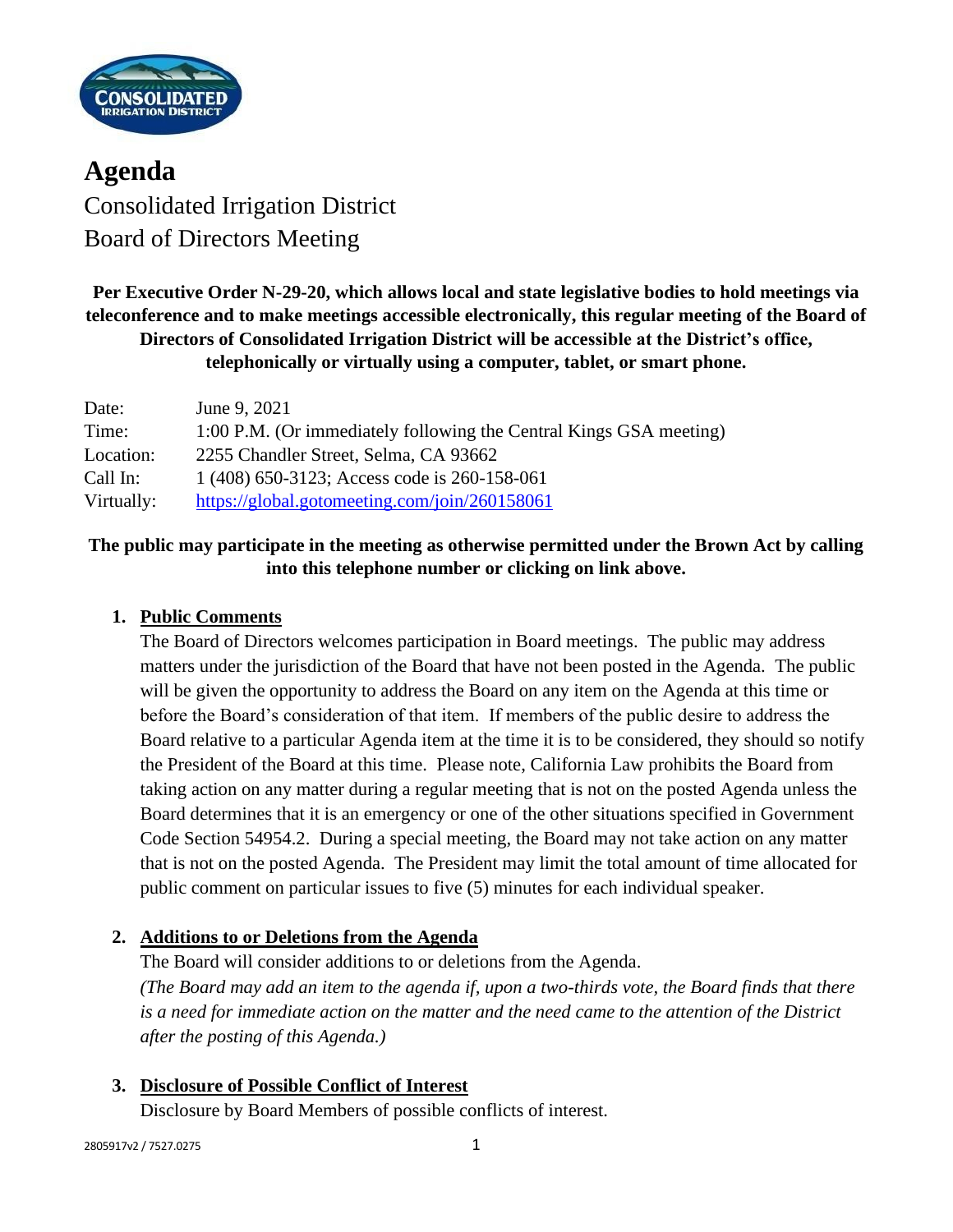

**Agenda** Consolidated Irrigation District Board of Directors Meeting

**Per Executive Order N-29-20, which allows local and state legislative bodies to hold meetings via teleconference and to make meetings accessible electronically, this regular meeting of the Board of Directors of Consolidated Irrigation District will be accessible at the District's office, telephonically or virtually using a computer, tablet, or smart phone.**

| Date:      | June 9, 2021                                                       |
|------------|--------------------------------------------------------------------|
| Time:      | 1:00 P.M. (Or immediately following the Central Kings GSA meeting) |
| Location:  | 2255 Chandler Street, Selma, CA 93662                              |
| Call In:   | 1 (408) 650-3123; Access code is 260-158-061                       |
| Virtually: | https://global.gotomeeting.com/join/260158061                      |

# **The public may participate in the meeting as otherwise permitted under the Brown Act by calling into this telephone number or clicking on link above.**

#### **1. Public Comments**

The Board of Directors welcomes participation in Board meetings. The public may address matters under the jurisdiction of the Board that have not been posted in the Agenda. The public will be given the opportunity to address the Board on any item on the Agenda at this time or before the Board's consideration of that item. If members of the public desire to address the Board relative to a particular Agenda item at the time it is to be considered, they should so notify the President of the Board at this time. Please note, California Law prohibits the Board from taking action on any matter during a regular meeting that is not on the posted Agenda unless the Board determines that it is an emergency or one of the other situations specified in Government Code Section 54954.2. During a special meeting, the Board may not take action on any matter that is not on the posted Agenda. The President may limit the total amount of time allocated for public comment on particular issues to five (5) minutes for each individual speaker.

#### **2. Additions to or Deletions from the Agenda**

The Board will consider additions to or deletions from the Agenda. *(The Board may add an item to the agenda if, upon a two-thirds vote, the Board finds that there is a need for immediate action on the matter and the need came to the attention of the District after the posting of this Agenda.)*

#### **3. Disclosure of Possible Conflict of Interest**

Disclosure by Board Members of possible conflicts of interest.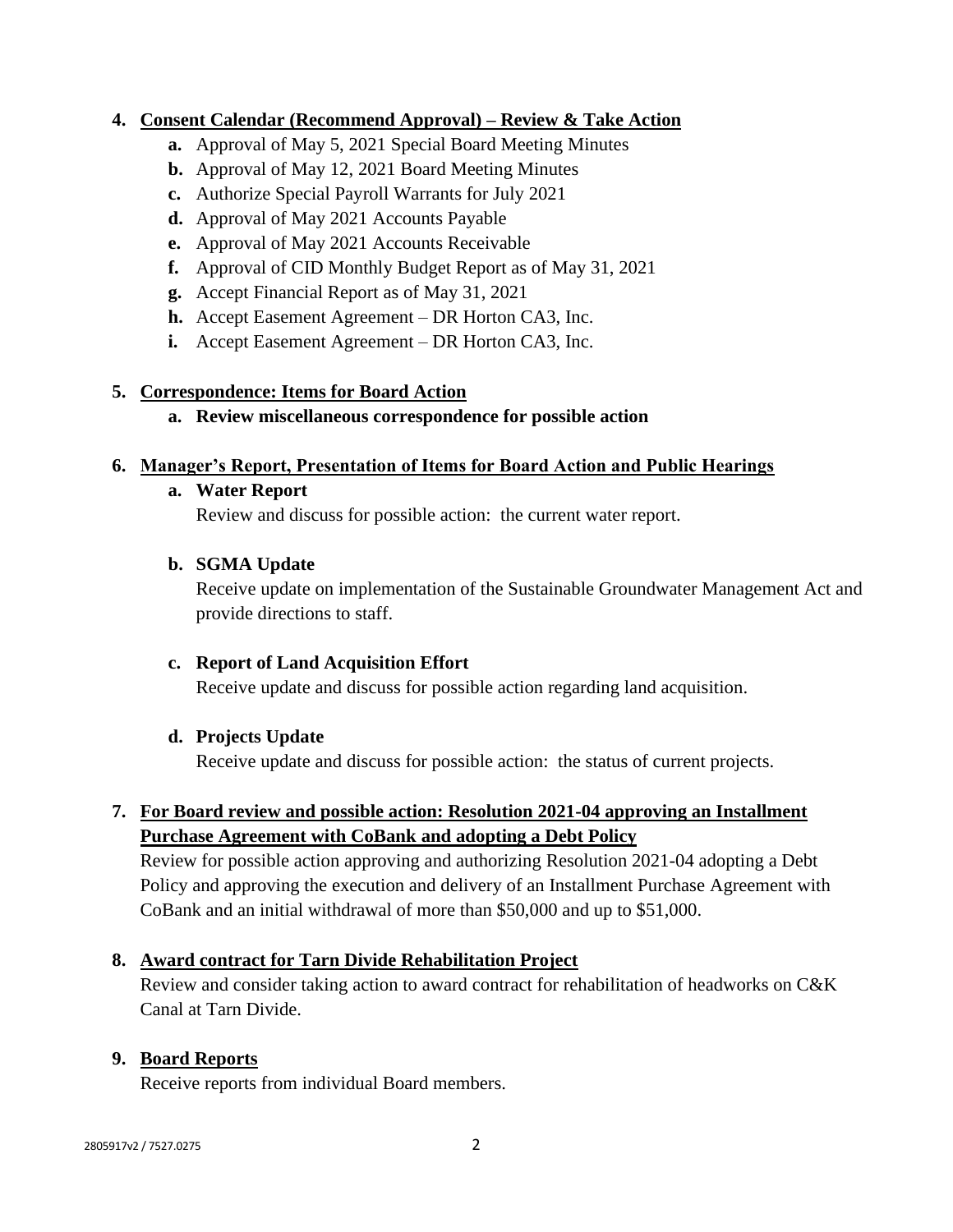#### **4. Consent Calendar (Recommend Approval) – Review & Take Action**

- **a.** Approval of May 5, 2021 Special Board Meeting Minutes
- **b.** Approval of May 12, 2021 Board Meeting Minutes
- **c.** Authorize Special Payroll Warrants for July 2021
- **d.** Approval of May 2021 Accounts Payable
- **e.** Approval of May 2021 Accounts Receivable
- **f.** Approval of CID Monthly Budget Report as of May 31, 2021
- **g.** Accept Financial Report as of May 31, 2021
- **h.** Accept Easement Agreement DR Horton CA3, Inc.
- **i.** Accept Easement Agreement DR Horton CA3, Inc.

#### **5. Correspondence: Items for Board Action**

**a. Review miscellaneous correspondence for possible action**

#### **6. Manager's Report, Presentation of Items for Board Action and Public Hearings**

#### **a. Water Report**

Review and discuss for possible action: the current water report.

#### **b. SGMA Update**

Receive update on implementation of the Sustainable Groundwater Management Act and provide directions to staff.

## **c. Report of Land Acquisition Effort**

Receive update and discuss for possible action regarding land acquisition.

#### **d. Projects Update**

Receive update and discuss for possible action: the status of current projects.

## **7. For Board review and possible action: Resolution 2021-04 approving an Installment Purchase Agreement with CoBank and adopting a Debt Policy**

Review for possible action approving and authorizing Resolution 2021-04 adopting a Debt Policy and approving the execution and delivery of an Installment Purchase Agreement with CoBank and an initial withdrawal of more than \$50,000 and up to \$51,000.

## **8. Award contract for Tarn Divide Rehabilitation Project**

Review and consider taking action to award contract for rehabilitation of headworks on C&K Canal at Tarn Divide.

## **9. Board Reports**

Receive reports from individual Board members.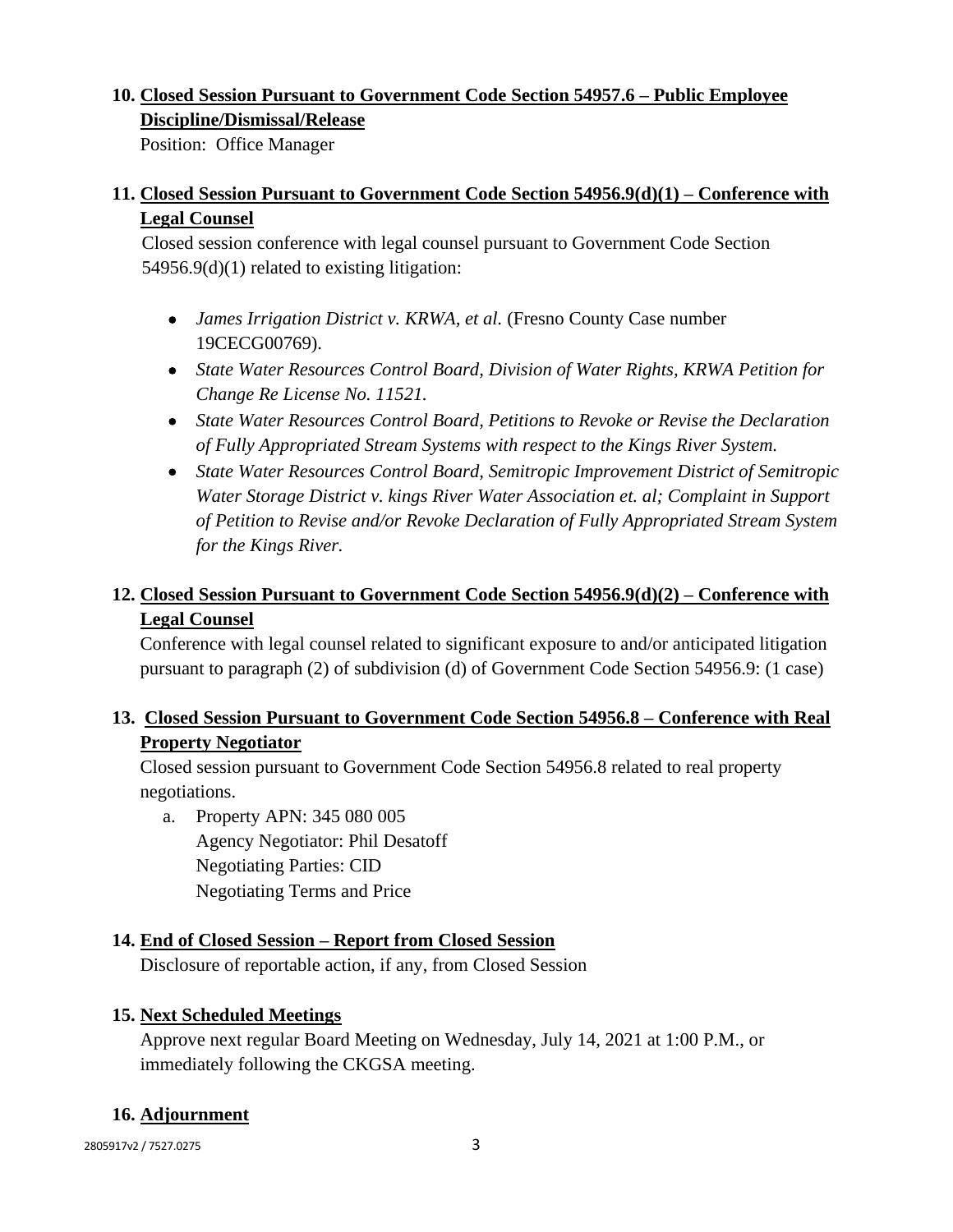#### **10. Closed Session Pursuant to Government Code Section 54957.6 – Public Employee Discipline/Dismissal/Release**

Position: Office Manager

# **11. Closed Session Pursuant to Government Code Section 54956.9(d)(1) – Conference with Legal Counsel**

Closed session conference with legal counsel pursuant to Government Code Section 54956.9(d)(1) related to existing litigation:

- *James Irrigation District v. KRWA, et al.* (Fresno County Case number 19CECG00769).
- *State Water Resources Control Board, Division of Water Rights, KRWA Petition for Change Re License No. 11521.*
- *State Water Resources Control Board, Petitions to Revoke or Revise the Declaration of Fully Appropriated Stream Systems with respect to the Kings River System.*
- *State Water Resources Control Board, Semitropic Improvement District of Semitropic Water Storage District v. kings River Water Association et. al; Complaint in Support of Petition to Revise and/or Revoke Declaration of Fully Appropriated Stream System for the Kings River.*

# **12. Closed Session Pursuant to Government Code Section 54956.9(d)(2) – Conference with Legal Counsel**

Conference with legal counsel related to significant exposure to and/or anticipated litigation pursuant to paragraph (2) of subdivision (d) of Government Code Section 54956.9: (1 case)

# **13. Closed Session Pursuant to Government Code Section 54956.8 – Conference with Real Property Negotiator**

Closed session pursuant to Government Code Section 54956.8 related to real property negotiations.

a. Property APN: 345 080 005 Agency Negotiator: Phil Desatoff Negotiating Parties: CID Negotiating Terms and Price

## **14. End of Closed Session – Report from Closed Session**

Disclosure of reportable action, if any, from Closed Session

## **15. Next Scheduled Meetings**

Approve next regular Board Meeting on Wednesday, July 14, 2021 at 1:00 P.M., or immediately following the CKGSA meeting.

## **16. Adjournment**

2805917v2 / 7527.0275 3